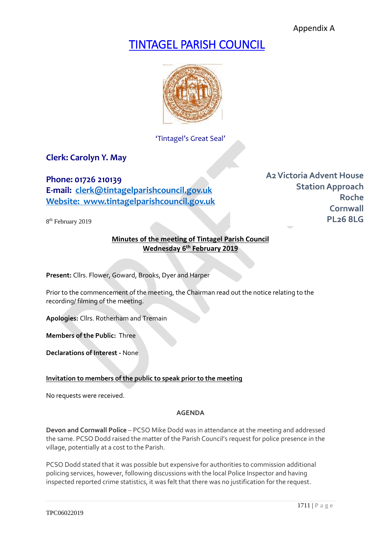Appendix A

# TINTAGEL PARISH COUNCIL



'Tintagel's Great Seal'

# **Clerk: Carolyn Y. May**

**Phone: 01726 210139 E-mail: [clerk@tintagelparishcouncil.gov.uk](mailto:clerk@tintagelparishcouncil.gov.uk) Website: www.tintagelparishcouncil.gov.uk**

8 th February 2019

**A2Victoria Advent House Station Approach Roche Cornwall PL26 8LG**

# **Minutes of the meeting of Tintagel Parish Council Wednesday 6 th February 2019**

**Present:** Cllrs. Flower, Goward, Brooks, Dyer and Harper

Prior to the commencement of the meeting, the Chairman read out the notice relating to the recording/ filming of the meeting.

**Apologies:** Cllrs. Rotherham and Tremain

**Members of the Public:** Three

**Declarations of Interest -** None

# **Invitation to members of the public to speak prior to the meeting**

No requests were received.

# **AGENDA**

**Devon and Cornwall Police** – PCSO Mike Dodd was in attendance at the meeting and addressed the same. PCSO Dodd raised the matter of the Parish Council's request for police presence in the village, potentially at a cost to the Parish.

PCSO Dodd stated that it was possible but expensive for authorities to commission additional policing services, however, following discussions with the local Police Inspector and having inspected reported crime statistics, it was felt that there was no justification for the request.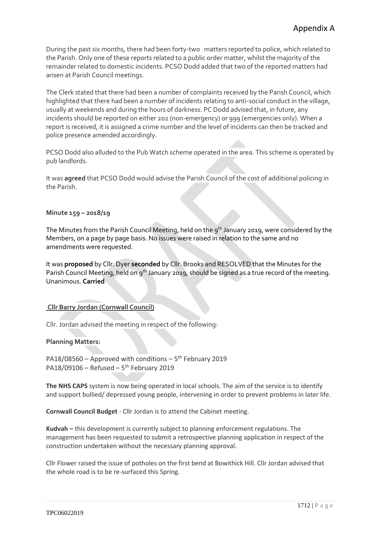During the past six months, there had been forty-two matters reported to police, which related to the Parish. Only one of these reports related to a public order matter, whilst the majority of the remainder related to domestic incidents. PCSO Dodd added that two of the reported matters had arisen at Parish Council meetings.

The Clerk stated that there had been a number of complaints received by the Parish Council, which highlighted that there had been a number of incidents relating to anti-social conduct in the village, usually at weekends and during the hours of darkness. PC Dodd advised that, in future, any incidents should be reported on either 202 (non-emergency) or 999 (emergencies only). When a report is received, it is assigned a crime number and the level of incidents can then be tracked and police presence amended accordingly.

PCSO Dodd also alluded to the Pub Watch scheme operated in the area. This scheme is operated by pub landlords.

It was **agreed** that PCSO Dodd would advise the Parish Council of the cost of additional policing in the Parish.

## **Minute 159 – 2018/19**

The Minutes from the Parish Council Meeting, held on the 9<sup>th</sup> January 2019, were considered by the Members, on a page by page basis. No issues were raised in relation to the same and no amendments were requested.

It was **proposed** by Cllr. Dyer **seconded** by Cllr. Brooks and RESOLVED that the Minutes for the Parish Council Meeting, held on 9<sup>th</sup> January 2019, should be signed as a true record of the meeting. Unanimous. **Carried**

# **Cllr Barry Jordan (Cornwall Council)**

Cllr. Jordan advised the meeting in respect of the following:

#### **Planning Matters:**

PA18/08560 - Approved with conditions  $-5$ <sup>th</sup> February 2019 PA18/09106  $-$  Refused  $-5$ <sup>th</sup> February 2019

**The NHS CAPS** system is now being operated in local schools. The aim of the service is to identify and support bullied/ depressed young people, intervening in order to prevent problems in later life.

**Cornwall Council Budget** - Cllr Jordan is to attend the Cabinet meeting.

**Kudvah –** this development is currently subject to planning enforcement regulations. The management has been requested to submit a retrospective planning application in respect of the construction undertaken without the necessary planning approval.

Cllr Flower raised the issue of potholes on the first bend at Bowithick Hill. Cllr Jordan advised that the whole road is to be re-surfaced this Spring.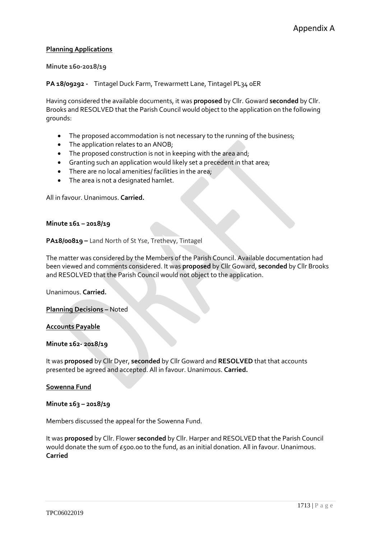# **Planning Applications**

# **Minute 160-2018/19**

**PA 18/09292 -** Tintagel Duck Farm, Trewarmett Lane, Tintagel PL34 0ER

Having considered the available documents, it was **proposed** by Cllr. Goward **seconded** by Cllr. Brooks and RESOLVED that the Parish Council would object to the application on the following grounds:

- The proposed accommodation is not necessary to the running of the business;
- The application relates to an ANOB;
- The proposed construction is not in keeping with the area and;
- Granting such an application would likely set a precedent in that area;
- There are no local amenities/ facilities in the area;
- The area is not a designated hamlet.

All in favour. Unanimous. **Carried.**

#### **Minute 161 – 2018/19**

**PA18/00819 –** Land North of St Yse, Trethevy, Tintagel

The matter was considered by the Members of the Parish Council. Available documentation had been viewed and comments considered. It was **proposed** by Cllr Goward, **seconded** by Cllr Brooks and RESOLVED that the Parish Council would not object to the application.

Unanimous. **Carried.**

**Planning Decisions –** Noted

#### **Accounts Payable**

#### **Minute 162- 2018/19**

It was **proposed** by Cllr Dyer, **seconded** by Cllr Goward and **RESOLVED** that that accounts presented be agreed and accepted. All in favour. Unanimous. **Carried.**

**Sowenna Fund**

**Minute 163 – 2018/19**

Members discussed the appeal for the Sowenna Fund.

It was **proposed** by Cllr. Flower **seconded** by Cllr. Harper and RESOLVED that the Parish Council would donate the sum of £500.00 to the fund, as an initial donation. All in favour. Unanimous. **Carried**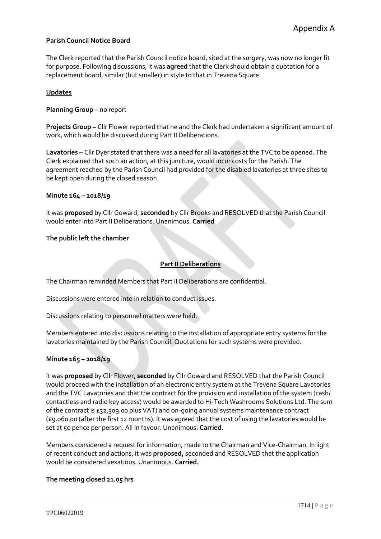# **Parish Council Notice Board**

The Clerk reported that the Parish Council notice board, sited at the surgery, was now no longer fit for purpose. Following discussions, it was **agreed** that the Clerk should obtain a quotation for a replacement board, similar (but smaller) in style to that in Trevena Square.

# **Updates**

**Planning Group –** no report

**Projects Group –** Cllr Flower reported that he and the Clerk had undertaken a significant amount of work, which would be discussed during Part II Deliberations.

**Lavatories –** Cllr Dyer stated that there was a need for all lavatories at the TVC to be opened. The Clerk explained that such an action, at this juncture, would incur costs for the Parish. The agreement reached by the Parish Council had provided for the disabled lavatories at three sites to be kept open during the closed season.

#### **Minute 164 – 2018/19**

It was **proposed** by Cllr Goward, **seconded** by Cllr Brooks and RESOLVED that the Parish Council would enter into Part II Deliberations. Unanimous. **Carried**

#### **The public left the chamber**

# **Part II Deliberations**

The Chairman reminded Members that Part II Deliberations are confidential.

Discussions were entered into in relation to conduct issues.

Discussions relating to personnel matters were held.

Members entered into discussions relating to the installation of appropriate entry systems for the lavatories maintained by the Parish Council. Quotations for such systems were provided.

# **Minute 165 – 2018/19**

It was **proposed** by Cllr Flower, **seconded** by Cllr Goward and RESOLVED that the Parish Council would proceed with the installation of an electronic entry system at the Trevena Square Lavatories and the TVC Lavatories and that the contract for the provision and installation of the system (cash/ contactless and radio key access) would be awarded to Hi-Tech Washrooms Solutions Ltd. The sum of the contract is £32,309.00 plus VAT) and on-going annual systems maintenance contract (£9.060.00 (after the first 12 months). It was agreed that the cost of using the lavatories would be set at 50 pence per person. All in favour. Unanimous. **Carried.**

Members considered a request for information, made to the Chairman and Vice-Chairman. In light of recent conduct and actions, it was **proposed,** seconded and RESOLVED that the application would be considered vexatious. Unanimous. **Carried.**

#### **The meeting closed 21.05 hrs**